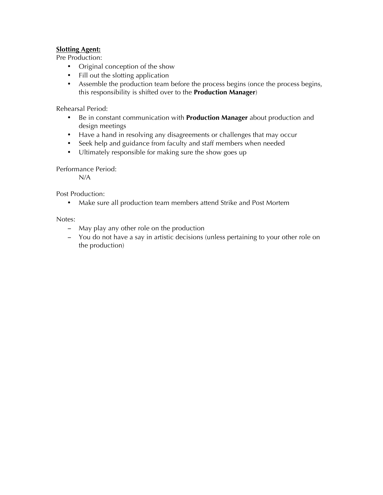## **Slotting Agent:**

Pre Production:

- Original conception of the show
- Fill out the slotting application
- Assemble the production team before the process begins (once the process begins, this responsibility is shifted over to the **Production Manager**)

Rehearsal Period:

- Be in constant communication with **Production Manager** about production and design meetings
- Have a hand in resolving any disagreements or challenges that may occur
- Seek help and guidance from faculty and staff members when needed
- Ultimately responsible for making sure the show goes up

Performance Period:

N/A

Post Production:

• Make sure all production team members attend Strike and Post Mortem

Notes:

- − May play any other role on the production
- − You do not have a say in artistic decisions (unless pertaining to your other role on the production)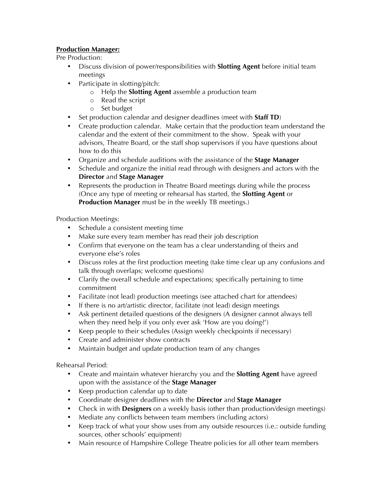## **Production Manager:**

Pre Production:

- Discuss division of power/responsibilities with **Slotting Agent** before initial team meetings
- Participate in slotting/pitch:
	- o Help the **Slotting Agent** assemble a production team
	- o Read the script
	- o Set budget
- Set production calendar and designer deadlines (meet with **Staff TD**)
- Create production calendar. Make certain that the production team understand the calendar and the extent of their commitment to the show. Speak with your advisors, Theatre Board, or the staff shop supervisors if you have questions about how to do this
- Organize and schedule auditions with the assistance of the **Stage Manager**
- Schedule and organize the initial read through with designers and actors with the **Director** and **Stage Manager**
- Represents the production in Theatre Board meetings during while the process (Once any type of meeting or rehearsal has started, the **Slotting Agent** or **Production Manager** must be in the weekly TB meetings.)

Production Meetings:

- Schedule a consistent meeting time
- Make sure every team member has read their job description
- Confirm that everyone on the team has a clear understanding of theirs and everyone else's roles
- Discuss roles at the first production meeting (take time clear up any confusions and talk through overlaps; welcome questions)
- Clarify the overall schedule and expectations; specifically pertaining to time commitment
- Facilitate (not lead) production meetings (see attached chart for attendees)
- If there is no art/artistic director, facilitate (not lead) design meetings
- Ask pertinent detailed questions of the designers (A designer cannot always tell when they need help if you only ever ask 'How are you doing?')
- Keep people to their schedules (Assign weekly checkpoints if necessary)
- Create and administer show contracts
- Maintain budget and update production team of any changes

Rehearsal Period:

- Create and maintain whatever hierarchy you and the **Slotting Agent** have agreed upon with the assistance of the **Stage Manager**
- Keep production calendar up to date
- Coordinate designer deadlines with the **Director** and **Stage Manager**
- Check in with **Designers** on a weekly basis (other than production/design meetings)
- Mediate any conflicts between team members (including actors)
- Keep track of what your show uses from any outside resources (i.e.: outside funding sources, other schools' equipment)
- Main resource of Hampshire College Theatre policies for all other team members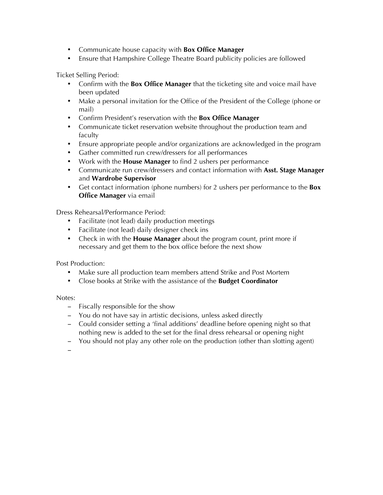- Communicate house capacity with **Box Office Manager**
- Ensure that Hampshire College Theatre Board publicity policies are followed

Ticket Selling Period:

- Confirm with the **Box Office Manager** that the ticketing site and voice mail have been updated
- Make a personal invitation for the Office of the President of the College (phone or mail)
- Confirm President's reservation with the **Box Office Manager**
- Communicate ticket reservation website throughout the production team and faculty
- Ensure appropriate people and/or organizations are acknowledged in the program
- Gather committed run crew/dressers for all performances
- Work with the **House Manager** to find 2 ushers per performance
- Communicate run crew/dressers and contact information with **Asst. Stage Manager** and **Wardrobe Supervisor**
- Get contact information (phone numbers) for 2 ushers per performance to the **Box Office Manager** via email

Dress Rehearsal/Performance Period:

- Facilitate (not lead) daily production meetings
- Facilitate (not lead) daily designer check ins
- Check in with the **House Manager** about the program count, print more if necessary and get them to the box office before the next show

Post Production:

- Make sure all production team members attend Strike and Post Mortem
- Close books at Strike with the assistance of the **Budget Coordinator**

Notes:

- − Fiscally responsible for the show
- − You do not have say in artistic decisions, unless asked directly
- − Could consider setting a 'final additions' deadline before opening night so that nothing new is added to the set for the final dress rehearsal or opening night
- − You should not play any other role on the production (other than slotting agent)

−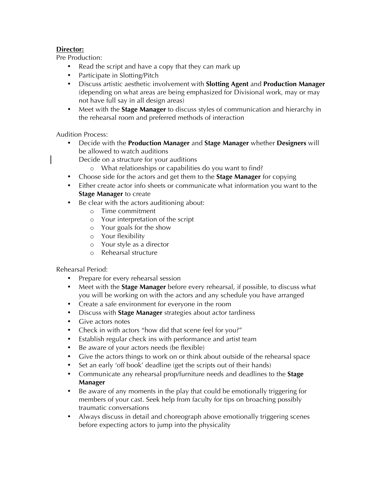## **Director:**

Pre Production:

- Read the script and have a copy that they can mark up
- Participate in Slotting/Pitch
- Discuss artistic aesthetic involvement with **Slotting Agent** and **Production Manager** (depending on what areas are being emphasized for Divisional work, may or may not have full say in all design areas)
- Meet with the **Stage Manager** to discuss styles of communication and hierarchy in the rehearsal room and preferred methods of interaction

Audition Process:

- Decide with the **Production Manager** and **Stage Manager** whether **Designers** will be allowed to watch auditions
	- Decide on a structure for your auditions
		- o What relationships or capabilities do you want to find?
- Choose side for the actors and get them to the **Stage Manager** for copying
- Either create actor info sheets or communicate what information you want to the **Stage Manager** to create
- Be clear with the actors auditioning about:
	- o Time commitment
	- o Your interpretation of the script
	- o Your goals for the show
	- o Your flexibility
	- o Your style as a director
	- o Rehearsal structure

Rehearsal Period:

- Prepare for every rehearsal session
- Meet with the **Stage Manager** before every rehearsal, if possible, to discuss what you will be working on with the actors and any schedule you have arranged
- Create a safe environment for everyone in the room
- Discuss with **Stage Manager** strategies about actor tardiness
- Give actors notes
- Check in with actors "how did that scene feel for you?"
- Establish regular check ins with performance and artist team
- Be aware of your actors needs (be flexible)
- Give the actors things to work on or think about outside of the rehearsal space
- Set an early 'off book' deadline (get the scripts out of their hands)
- Communicate any rehearsal prop/furniture needs and deadlines to the **Stage Manager**
- Be aware of any moments in the play that could be emotionally triggering for members of your cast. Seek help from faculty for tips on broaching possibly traumatic conversations
- Always discuss in detail and choreograph above emotionally triggering scenes before expecting actors to jump into the physicality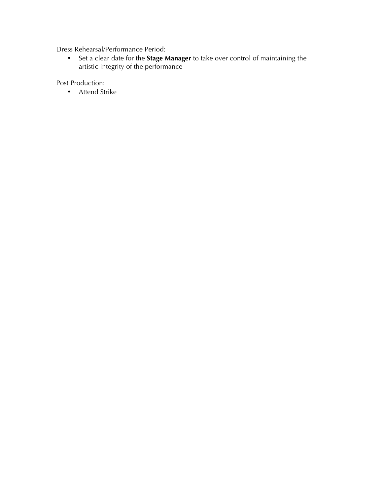Dress Rehearsal/Performance Period:

• Set a clear date for the **Stage Manager** to take over control of maintaining the artistic integrity of the performance

Post Production:

• Attend Strike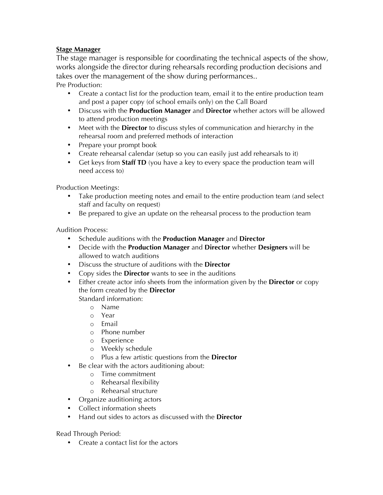## **Stage Manager**

The stage manager is responsible for coordinating the technical aspects of the show, works alongside the director during rehearsals recording production decisions and takes over the management of the show during performances.. Pre Production:

- Create a contact list for the production team, email it to the entire production team and post a paper copy (of school emails only) on the Call Board
- Discuss with the **Production Manager** and **Director** whether actors will be allowed to attend production meetings
- Meet with the **Director** to discuss styles of communication and hierarchy in the rehearsal room and preferred methods of interaction
- Prepare your prompt book
- Create rehearsal calendar (setup so you can easily just add rehearsals to it)
- Get keys from **Staff TD** (you have a key to every space the production team will need access to)

Production Meetings:

- Take production meeting notes and email to the entire production team (and select staff and faculty on request)
- Be prepared to give an update on the rehearsal process to the production team

Audition Process:

- Schedule auditions with the **Production Manager** and **Director**
- Decide with the **Production Manager** and **Director** whether **Designers** will be allowed to watch auditions
- Discuss the structure of auditions with the **Director**
- Copy sides the **Director** wants to see in the auditions
- Either create actor info sheets from the information given by the **Director** or copy the form created by the **Director**

Standard information:

- o Name
- o Year
- o Email
- o Phone number
- o Experience
- o Weekly schedule
- o Plus a few artistic questions from the **Director**
- Be clear with the actors auditioning about:
	- o Time commitment
	- o Rehearsal flexibility
	- o Rehearsal structure
- Organize auditioning actors
- Collect information sheets
- Hand out sides to actors as discussed with the **Director**

Read Through Period:

• Create a contact list for the actors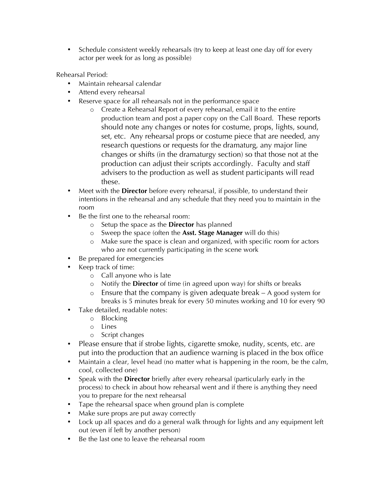• Schedule consistent weekly rehearsals (try to keep at least one day off for every actor per week for as long as possible)

Rehearsal Period:

- Maintain rehearsal calendar
- Attend every rehearsal
- Reserve space for all rehearsals not in the performance space
	- o Create a Rehearsal Report of every rehearsal, email it to the entire production team and post a paper copy on the Call Board. These reports should note any changes or notes for costume, props, lights, sound, set, etc. Any rehearsal props or costume piece that are needed, any research questions or requests for the dramaturg, any major line changes or shifts (in the dramaturgy section) so that those not at the production can adjust their scripts accordingly. Faculty and staff advisers to the production as well as student participants will read these.
- Meet with the **Director** before every rehearsal, if possible, to understand their intentions in the rehearsal and any schedule that they need you to maintain in the room
- Be the first one to the rehearsal room:
	- o Setup the space as the **Director** has planned
	- o Sweep the space (often the **Asst. Stage Manager** will do this)
	- o Make sure the space is clean and organized, with specific room for actors who are not currently participating in the scene work
- Be prepared for emergencies
- Keep track of time:
	- o Call anyone who is late
	- o Notify the **Director** of time (in agreed upon way) for shifts or breaks
	- o Ensure that the company is given adequate break A good system for breaks is 5 minutes break for every 50 minutes working and 10 for every 90
- Take detailed, readable notes:
	- o Blocking
	- o Lines
	- o Script changes
- Please ensure that if strobe lights, cigarette smoke, nudity, scents, etc. are put into the production that an audience warning is placed in the box office
- Maintain a clear, level head (no matter what is happening in the room, be the calm, cool, collected one)
- Speak with the **Director** briefly after every rehearsal (particularly early in the process) to check in about how rehearsal went and if there is anything they need you to prepare for the next rehearsal
- Tape the rehearsal space when ground plan is complete
- Make sure props are put away correctly
- Lock up all spaces and do a general walk through for lights and any equipment left out (even if left by another person)
- Be the last one to leave the rehearsal room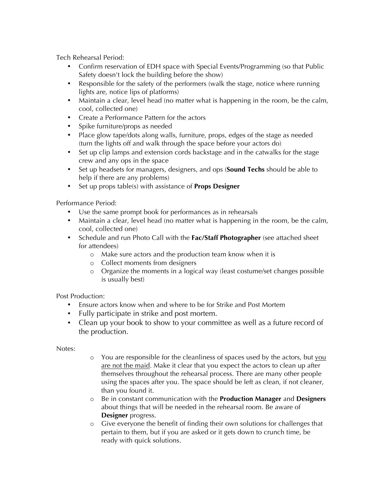Tech Rehearsal Period:

- Confirm reservation of EDH space with Special Events/Programming (so that Public Safety doesn't lock the building before the show)
- Responsible for the safety of the performers (walk the stage, notice where running lights are, notice lips of platforms)
- Maintain a clear, level head (no matter what is happening in the room, be the calm, cool, collected one)
- Create a Performance Pattern for the actors
- Spike furniture/props as needed
- Place glow tape/dots along walls, furniture, props, edges of the stage as needed (turn the lights off and walk through the space before your actors do)
- Set up clip lamps and extension cords backstage and in the catwalks for the stage crew and any ops in the space
- Set up headsets for managers, designers, and ops (**Sound Techs** should be able to help if there are any problems)
- Set up props table(s) with assistance of **Props Designer**

Performance Period:

- Use the same prompt book for performances as in rehearsals
- Maintain a clear, level head (no matter what is happening in the room, be the calm, cool, collected one)
- Schedule and run Photo Call with the **Fac/Staff Photographer** (see attached sheet for attendees)
	- o Make sure actors and the production team know when it is
	- o Collect moments from designers
	- o Organize the moments in a logical way (least costume/set changes possible is usually best)

Post Production:

- Ensure actors know when and where to be for Strike and Post Mortem
- Fully participate in strike and post mortem.
- Clean up your book to show to your committee as well as a future record of the production.

Notes:

- o You are responsible for the cleanliness of spaces used by the actors, but you are not the maid. Make it clear that you expect the actors to clean up after themselves throughout the rehearsal process. There are many other people using the spaces after you. The space should be left as clean, if not cleaner, than you found it.
- o Be in constant communication with the **Production Manager** and **Designers** about things that will be needed in the rehearsal room. Be aware of **Designer** progress.
- o Give everyone the benefit of finding their own solutions for challenges that pertain to them, but if you are asked or it gets down to crunch time, be ready with quick solutions.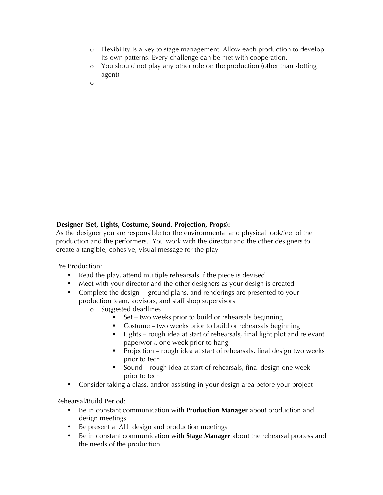- o Flexibility is a key to stage management. Allow each production to develop its own patterns. Every challenge can be met with cooperation.
- o You should not play any other role on the production (other than slotting agent)
- o

#### **Designer (Set, Lights, Costume, Sound, Projection, Props):**

As the designer you are responsible for the environmental and physical look/feel of the production and the performers. You work with the director and the other designers to create a tangible, cohesive, visual message for the play

Pre Production:

- Read the play, attend multiple rehearsals if the piece is devised
- Meet with your director and the other designers as your design is created
- Complete the design -- ground plans, and renderings are presented to your production team, advisors, and staff shop supervisors
	- o Suggested deadlines
		- $\blacksquare$  Set two weeks prior to build or rehearsals beginning
		- ! Costume two weeks prior to build or rehearsals beginning
		- ! Lights rough idea at start of rehearsals, final light plot and relevant paperwork, one week prior to hang
		- Projection rough idea at start of rehearsals, final design two weeks prior to tech
		- Sound rough idea at start of rehearsals, final design one week prior to tech
- Consider taking a class, and/or assisting in your design area before your project

Rehearsal/Build Period:

- Be in constant communication with **Production Manager** about production and design meetings
- Be present at ALL design and production meetings
- Be in constant communication with **Stage Manager** about the rehearsal process and the needs of the production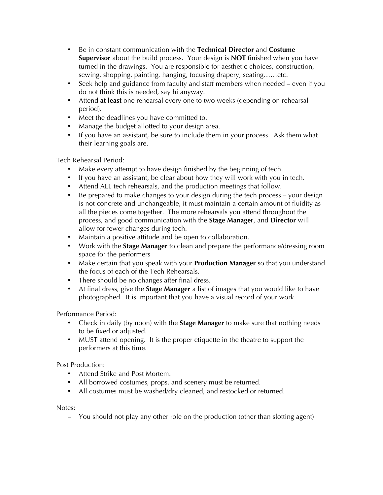- Be in constant communication with the **Technical Director** and **Costume Supervisor** about the build process. Your design is **NOT** finished when you have turned in the drawings. You are responsible for aesthetic choices, construction, sewing, shopping, painting, hanging, focusing drapery, seating……etc.
- Seek help and guidance from faculty and staff members when needed even if you do not think this is needed, say hi anyway.
- Attend **at least** one rehearsal every one to two weeks (depending on rehearsal period).
- Meet the deadlines you have committed to.
- Manage the budget allotted to your design area.
- If you have an assistant, be sure to include them in your process. Ask them what their learning goals are.

Tech Rehearsal Period:

- Make every attempt to have design finished by the beginning of tech.
- If you have an assistant, be clear about how they will work with you in tech.
- Attend ALL tech rehearsals, and the production meetings that follow.
- Be prepared to make changes to your design during the tech process your design is not concrete and unchangeable, it must maintain a certain amount of fluidity as all the pieces come together. The more rehearsals you attend throughout the process, and good communication with the **Stage Manager**, and **Director** will allow for fewer changes during tech.
- Maintain a positive attitude and be open to collaboration.
- Work with the **Stage Manager** to clean and prepare the performance/dressing room space for the performers
- Make certain that you speak with your **Production Manager** so that you understand the focus of each of the Tech Rehearsals.
- There should be no changes after final dress.
- At final dress, give the **Stage Manager** a list of images that you would like to have photographed. It is important that you have a visual record of your work.

Performance Period:

- Check in daily (by noon) with the **Stage Manager** to make sure that nothing needs to be fixed or adjusted.
- MUST attend opening. It is the proper etiquette in the theatre to support the performers at this time.

Post Production:

- Attend Strike and Post Mortem.
- All borrowed costumes, props, and scenery must be returned.
- All costumes must be washed/dry cleaned, and restocked or returned.

Notes:

− You should not play any other role on the production (other than slotting agent)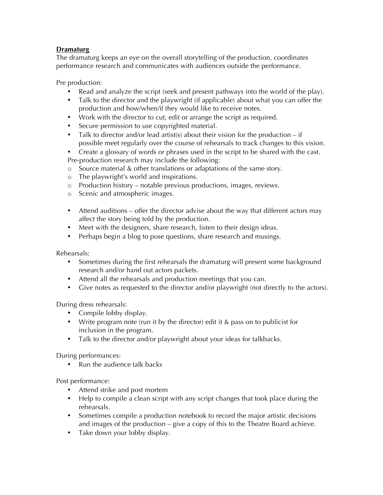## **Dramaturg**

The dramaturg keeps an eye on the overall storytelling of the production, coordinates performance research and communicates with audiences outside the performance.

Pre production:

- Read and analyze the script (seek and present pathways into the world of the play).
- Talk to the director and the playwright (if applicable) about what you can offer the production and how/when/if they would like to receive notes.
- Work with the director to cut, edit or arrange the script as required.
- Secure permission to use copyrighted material.
- Talk to director and/or lead artist(s) about their vision for the production  $-$  if possible meet regularly over the course of rehearsals to track changes to this vision.
- Create a glossary of words or phrases used in the script to be shared with the cast. Pre-production research may include the following:
- o Source material & other translations or adaptations of the same story.
- o The playwright's world and inspirations.
- o Production history notable previous productions, images, reviews.
- o Scenic and atmospheric images.
- Attend auditions offer the director advise about the way that different actors may affect the story being told by the production.
- Meet with the designers, share research, listen to their design ideas.
- Perhaps begin a blog to pose questions, share research and musings.

Rehearsals:

- Sometimes during the first rehearsals the dramaturg will present some background research and/or hand out actors packets.
- Attend all the rehearsals and production meetings that you can.
- Give notes as requested to the director and/or playwright (not directly to the actors).

During dress rehearsals:

- Compile lobby display.
- Write program note (run it by the director) edit it & pass on to publicist for inclusion in the program.
- Talk to the director and/or playwright about your ideas for talkbacks.

During performances:

• Run the audience talk backs

Post performance:

- Attend strike and post mortem
- Help to compile a clean script with any script changes that took place during the rehearsals.
- Sometimes compile a production notebook to record the major artistic decisions and images of the production – give a copy of this to the Theatre Board achieve.
- Take down your lobby display.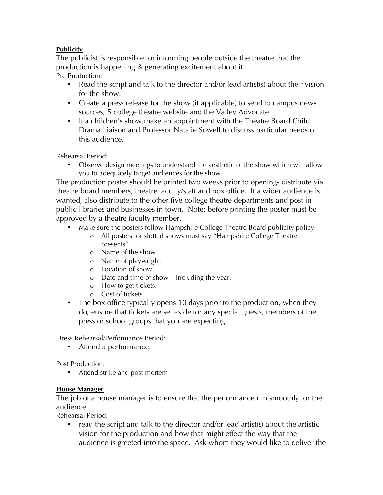# **Publicity**

The publicist is responsible for informing people outside the theatre that the production is happening & generating excitement about it. Pre Production:

- Read the script and talk to the director and/or lead artist(s) about their vision for the show.
- Create a press release for the show (if applicable) to send to campus news sources, 5 college theatre website and the Valley Advocate.
- If a children's show make an appointment with the Theatre Board Child Drama Liaison and Professor Natalie Sowell to discuss particular needs of this audience.

Rehearsal Period:

• Observe design meetings to understand the aesthetic of the show which will allow you to adequately target audiences for the show

The production poster should be printed two weeks prior to opening- distribute via theatre board members, theatre faculty/staff and box office. If a wider audience is wanted, also distribute to the other five college theatre departments and post in public libraries and businesses in town. Note: before printing the poster must be approved by a theatre faculty member.

- Make sure the posters follow Hampshire College Theatre Board publicity policy
	- o All posters for slotted shows must say "Hampshire College Theatre presents"
	- o Name of the show.
	- o Name of playwright.
	- o Location of show.
	- o Date and time of show Including the year.
	- o How to get tickets.
	- o Cost of tickets.
- The box office typically opens 10 days prior to the production, when they do, ensure that tickets are set aside for any special guests, members of the press or school groups that you are expecting.

Dress Rehearsal/Performance Period:

• Attend a performance.

Post Production:

• Attend strike and post mortem

## **House Manager**

The job of a house manager is to ensure that the performance run smoothly for the audience.

Rehearsal Period:

read the script and talk to the director and/or lead artist(s) about the artistic vision for the production and how that might effect the way that the audience is greeted into the space. Ask whom they would like to deliver the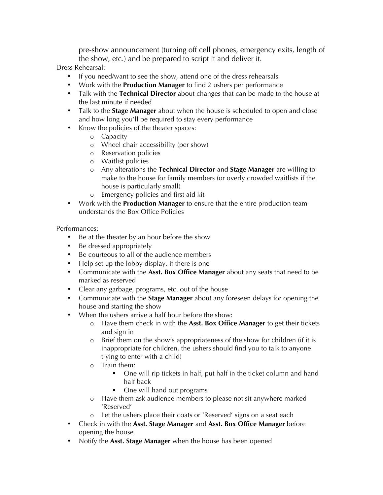pre-show announcement (turning off cell phones, emergency exits, length of the show, etc.) and be prepared to script it and deliver it.

Dress Rehearsal:

- If you need/want to see the show, attend one of the dress rehearsals
- Work with the **Production Manager** to find 2 ushers per performance
- Talk with the **Technical Director** about changes that can be made to the house at the last minute if needed
- Talk to the **Stage Manager** about when the house is scheduled to open and close and how long you'll be required to stay every performance
- Know the policies of the theater spaces:
	- o Capacity
	- o Wheel chair accessibility (per show)
	- o Reservation policies
	- o Waitlist policies
	- o Any alterations the **Technical Director** and **Stage Manager** are willing to make to the house for family members (or overly crowded waitlists if the house is particularly small)
	- o Emergency policies and first aid kit
- Work with the **Production Manager** to ensure that the entire production team understands the Box Office Policies

Performances:

- Be at the theater by an hour before the show
- Be dressed appropriately
- Be courteous to all of the audience members
- Help set up the lobby display, if there is one
- Communicate with the **Asst. Box Office Manager** about any seats that need to be marked as reserved
- Clear any garbage, programs, etc. out of the house
- Communicate with the **Stage Manager** about any foreseen delays for opening the house and starting the show
- When the ushers arrive a half hour before the show:
	- o Have them check in with the **Asst. Box Office Manager** to get their tickets and sign in
	- o Brief them on the show's appropriateness of the show for children (if it is inappropriate for children, the ushers should find you to talk to anyone trying to enter with a child)
	- o Train them:
		- One will rip tickets in half, put half in the ticket column and hand half back
		- **•** One will hand out programs
	- o Have them ask audience members to please not sit anywhere marked 'Reserved'
	- o Let the ushers place their coats or 'Reserved' signs on a seat each
- Check in with the **Asst. Stage Manager** and **Asst. Box Office Manager** before opening the house
- Notify the **Asst. Stage Manager** when the house has been opened